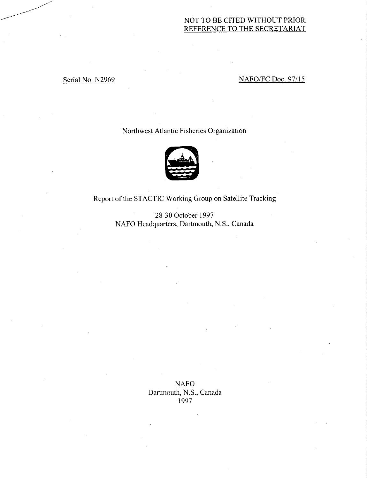# NOT TO BE CITED WITHOUT PRIOR REFERENCE TO THE SECRETARIAT

# Serial No. N2969 NAFO/FC Doc. 97/15

# Northwest Atlantic Fisheries Organization



Report of the STACTIC Working Group on Satellite Tracking

28-30 October 1997 NAFO Headquarters, Dartmouth, N.S., Canada

> NAFO Dartmouth, N.S., Canada 1997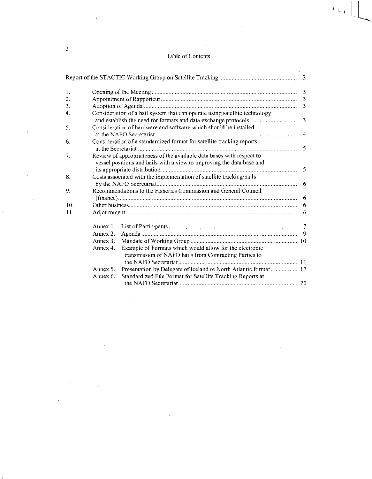# Table of Contents

 $\left\| \cdot \right\|_{1}$ 

| 1.  |                                                                            |              |
|-----|----------------------------------------------------------------------------|--------------|
| 2.  |                                                                            |              |
| 3.  |                                                                            | $\mathbf{3}$ |
| 4.  | Consideration of a hail system that can operate using satellite technology |              |
|     |                                                                            | 3            |
| 5.  | Consideration of hardware and software which should be installed           |              |
|     |                                                                            | 4            |
| 6.  | Consideration of a standardized format for satellite tracking reports      |              |
|     |                                                                            | -5           |
| 7.  | Review of appropriateness of the available data bases with respect to      |              |
|     | vessel positions and hails with a view to improving the data base and      |              |
|     |                                                                            |              |
| 8.  | Costs associated with the implementation of satellite tracking/hails       |              |
|     |                                                                            | 6            |
| 9.  | Recommendations to the Fisheries Commission and General Council            |              |
|     |                                                                            | -6           |
| 10. |                                                                            |              |
| 11. |                                                                            |              |
|     |                                                                            |              |
|     | Annex 2.                                                                   |              |
|     | Annex 3.                                                                   |              |
|     | Example of Formats which would allow for the electronic<br>Annex 4.        |              |
|     | transmission of NAFO hails from Contracting Parties to                     |              |
|     |                                                                            |              |
|     | Annex 5.                                                                   |              |
|     | Standardized File Format for Satellite Tracking Reports at<br>Annex 6.     |              |
|     |                                                                            |              |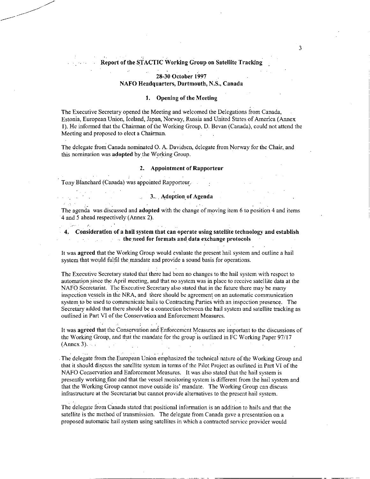# **Report of the STACTIC Working Croup on Satellite Tracking**

### **28-30 October 1997 NAFO Headquarters, Dartmouth, N.S., Canada**

# **1. Opening of the Meeting**

The Executive Secretary opened the Meeting and welcomed the Delegations from Canada, Estonia, European Union, Iceland, Japan, Norway, Russia and United States of America (Annex **1).** He informed that the Chairman of the Working Group, D. Bevan (Canada), could not attend the Meeting and proposed to elect a Chairman.

The delegate from Canada nominated 0. A. Davidsen, delegate from Norway for the Chair, and this nomination was **adopted** by the Working Group.

### **2. Appointment of Rapporteur**

 $\label{eq:2.1} \mathcal{L} = \mathcal{L} \left( \mathcal{L} \right) = \mathcal{L} \left( \mathcal{L} \right)$ Tony Blanchard (Canada) was appointed Rapporteur.

General Resources of the

**SALE** 

 $\mathcal{A}^{\mathcal{A}}$ 

 $\sim 10^{11}$ 

### 3.. , **Adoption of Agenda**

The agenda was discussed and **adopted** with the change of moving item 6 to position 4 and items 4 and 5 ahead respectively (Annex 2).

**4. Consideration of a hail system that can operate using satellite technology and establish the need for formats and data exchange protocols** 

It was **agreed** that the Working Group would evaluate the present hail system and outline a hail system that would fulfil the mandate and provide a sound basis for operations.

The Executive Secretary stated that there had been no changes to the hail system with respect to automation since the April meeting, and that no system was in place to receive satellite data at the NAFO Secretariat. The Executive Secretary also stated that in the future there may be many inspection vessels in the NRA, and there should be agreement on an automatic communication system to be used to communicate hails to. Contracting Parties with an inspection presence. The Secretary added that there should be a connection between the hail system and satellite tracking as outlined in Part VI of the Conservation and Enforcement Measures.

It was **agreed** that the Conservation and Enforcement Measures are important to the discussions of the Working Group, and that the mandate for the group is outlined in FC Working Paper 97/17 (Annex 3).  $\cdots$   $\cdots$ 

. The delegate from.the European Union emphasized the technical nature of the Working Group and that it should discuss the satellite system in terms of the Pilot Project as outlined in Part VI of the NAFO Conservation and Enforcement Measures. It was also stated that the hail system is presently working fine and that the vessel monitoring system is different from the hail system and that the Working Group cannot move outside its' mandate. The Working Group can discuss infrastructure at the Secretariat but cannot provide alternatives to the present hail system.

The delegate from Canada stated that positional information is an addition to hails and that the satellite is the method of transmission. The delegate from Canada gave a presentation on a proposed automatic hail system using satellites in which a contracted service provider would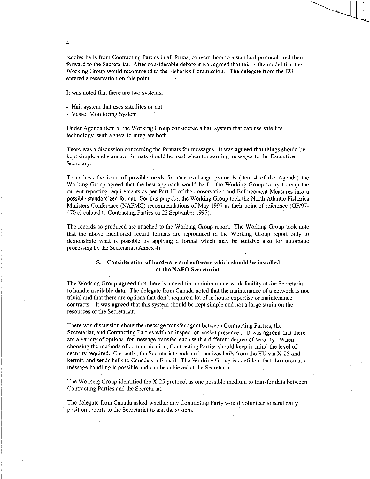receive hails from Contracting Parties in all forms, convert them to a standard protocol and then forward to the Secretariat. After considerable debate it was agreed that this is the model that the Working Group would recommend to the Fisheries Commission. The delegate from the EU entered a reservation on this point. •

It was noted that there are two systems;

- Hail system that uses satellites or not;

- Vessel Monitoring System '

4

Under Agenda item 5, the Working Group considered a hail system that can use satellite technology, with a view to integrate both.

There was a discussion concerning the formats for messages. It was agreed that things should be kept simple and standard formats should be used when forwarding messages to the Executive Secretary.

To address the issue of possible needs for data exchange protocols (item 4 of the Agenda) the Working Group agreed that the best approach would be for the Working Group to try to map the current reporting requirements as per Part III of the conservation and Enforcement Measures into a possible standardized format. For this purpose, the Working Group took the North Atlantic Fisheries Ministers Conference (NAFMC) recommendations of May 1997 as their point of reference (GF/97- 470 circulated to Contracting Parties on 22 September 1997).

The records so produced are attached to the Working Group report. The Working Group took note that the above mentioned record formats are reproduced in the Working Group report only to demonstrate what is possible by applying a format which may be suitable also for automatic processing by the Secretariat (Annex 4).

### 5. Consideration of hardware and software which should be installed at the NAFO Secretariat

The Working Group agreed that there is a need for a minimum network facility at the Secretariat to handle available data. The delegate from Canada noted that the maintenance of a network is not trivial and that there are options that don't require a lot of in house expertise or maintenance contracts: It was agreed that this system should be kept simple and not a large strain on the resources of the Secretariat.

There was discussion about the message transfer agent between Contracting Parties, the Secretariat, and Contracting Parties with an inspection vessel presence . It was agreed that there are a variety of options for message transfer, each with a different degree of security. When choosing the methods of communication, Contracting Parties should keep in mind the level of security required. Currently, the Secretariat sends and receives hails from the EU via X-25 and kermit, and sends hails to Canada via E-mail. The Working Group is confident that the automatic message handling is possible and can be achieved at the Secretariat.

The Working Group identified the X-25 protocol as one possible medium to transfer data between Contracting Parties and the Secretariat.

The delegate from Canada asked whether any Contracting Party would volunteer to send daily position reports to the Secretariat to test the system.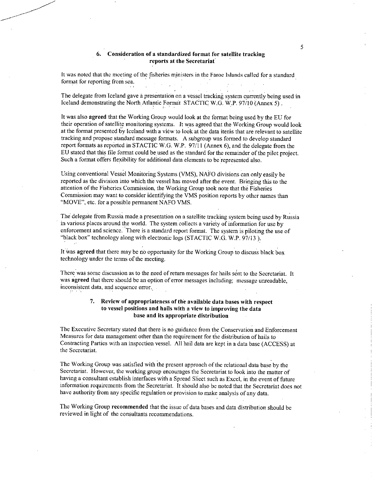### 6. Consideration of a standardized format for satellite tracking reports at the Secretariat

5

It was noted that the meeting of the fisheries ministers in the Faroe Islands called for a standard format for reporting from sea.

The delegate from Iceland gave a presentation on a vessel tracking system currently being used in Iceland demonstrating the North Atlantic Format STACTIC W.G. W.P. 97/10 '(Annex 5) .

It was also agreed that the Working Group would look at the format being used by the EU for their operation of satellite monitoring systems. It was agreed that the Working Group would look at the format presented by Iceland with a view to look at the data items that are relevant to satellite tracking and propose standard message formats. A subgroup was formed to develop standard report formats as reported in STACTIC W.G. W.P. 97/11 (Annex 6), and the delegate from the EU stated that this file format could be used as the standard for the remainder of the pilot project. Such a format offers flexibility for additional data elements to be represented also.

Using conventional Vessel Monitoring Systems (VMS), NAFO divisions can only easily be reported as the division into which the vessel has moved after the event. Bringing this to the attention of the Fisheries Commission, the Working Group took note that the Fisheries Commission may want to consider identifying the VMS position reports by other names than "MOVE", etc. for a possible permanent NAFO VMS.

The delegate from Russia made.a presentation on a satellite tracking system being used by Russia in various places around the world. The system collects a variety of information for use by enforcement and science. There is a standard report format. The system is piloting the use of "black box" technology along with electronic logs (STACTIC W.G. W.P. 97/13).

It Was agreed that there may be no opportunity for the Working Group to discuss black box technology under the terms of the meeting.

There was some discussion as to the need of return messages for hails sent to the Secretariat. It was agreed that there should be an option of error messages including; message unreadable, inconsistent data, and sequence error.\_

### 7. Review of appropriateness of the available data bases with respect to vessel positions and hails with a view to improving the data base and its appropriate distribution

The Executive Secretary stated that there is no guidance from the Conservation and Enforcement Measures for data management other than the requirement for the ditribution of hails to Contracting Parties with an inspection vessel. All hail data are kept in a data base (ACCESS) at the Secretariat.

The Working Group was satisfied with the present approach of the relational data base by the Secretariat. However, the working group encourages the Secretariat to look into the matter of having a consultant establish interfaces with a Spread Sheet such as Excel, in the event of future information requirements from the Secretariat. It should also be noted that the Secretariat does not have authority from any specific regulation or provision to make analysis of any data.

The Working Group recommended that the issue of data bases and data distribution should be reviewed in light of the consultants recommendations.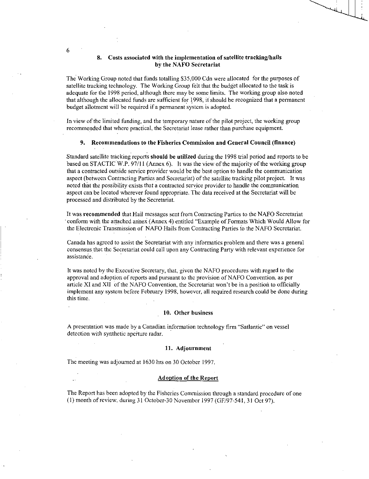### **8. Costs associated with the implementation of satellite tracking/hails by the NAFO Secretariat**

The Working Group noted that funds totalling \$35,000 Cdn were allocated for the purposes of satellite tracking technology. The Working Group felt that the budget allocated to the task is adequate for the 1998 period, although there may be some limits. The working group also noted that although the allocated funds are sufficient for 1998, it should be recognized that a permanent budget allotment will be required if a permanent system is adopted.

In view of the limited funding, and the temporary nature of the pilot project, the working group recommended that where practical, the Secretariat lease rather than purchase equipment.

### **9. Recommendations to the Fisheries Commission and General Council (finance)**

Standard satellite tracking reports **should be utilized** during the 1998 trial period and reports to be based on STACTIC W.P. 97/11 (Annex 6). It was the view of the majority of the working group that a contracted outside service provider would be the best option to handle the communication aspect (between Contracting Parties and Secretariat) of the satellite tracking pilot project. It was noted that the possibility exists that a contracted service provider to handle the communication aspect can be located wherever found appropriate. The data received at the Secretariat will be processed and distributed by the Secretariat.

It was **recommended** that Hail messages sent from Contracting Parties to the NAFO Secretariat conform with the attached annex (Annex 4) entitled "Example of Formats Which Would Allow for the Electronic Transmission of NAFO Hails from Contracting Parties fo the NAFO Secretariat.

Canada has agreed to assist the Secretariat with any informatics problem and there was a general consensus that the Secretariat could call upon any Contracting Party with relevant experience for assistance.

It was noted by the Executive Secretary, that, given the NAFO procedures with regard to the approval and adoption of reports and pursuant to the provision of NAFO Convention. as per article XI and XII of the NAFO Convention, the Secretariat won't be in a position to officially implement any system before February 1998, however, all required research could be done during this time.

### **10. Other business**

A presentation was made by a Canadian information technology firm "Satlantic" on vessel detection with synthetic apcrture radar.

### **11. Adjournment**

The meeting was adjourned at 1630 hrs on 30 October 1997.

### **Adoption of the Report**

The Report has been adopted by the Fisheries Commission through a standard procedure of one (1) month of review, during 31 October-30 November 1997 (GF/97-541, 31 Oct 97).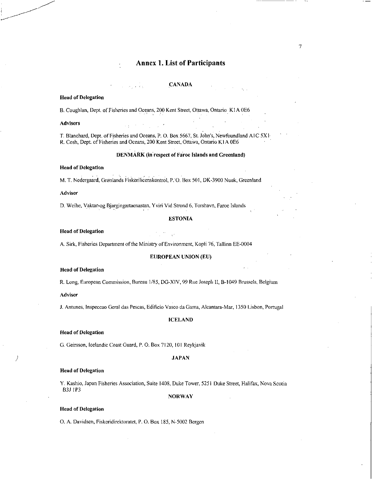# Annex 1. List of Participants

### CANADA

### Head of Delegation

B. Coughlan, Dept. of Fisheries and Oceans, 200 Kent Street, Ottawa, Ontario K1A 0E6

### Advisers

T. Blanchard, Dept. of Fisheries and Oceans, P. O. Box 5667, St. John's, Newfoundland A1C 5X1 R. Cosh, Dept. of Fisheries and Oceans, 200 Kent Street, Ottawa, Ontario Kl A 0E6

### DENMARK (in respect of Faroe Islands and Greenland)

### Head of Delegation

M. T. Nedergaard, Grønlands Fiskerilicenskontrol, P. O. Box 501, DK-3900 Nuuk, Greenland

### Adviser

D. Weihe, Yaktar-og Bjargingartaenastan, Yviri Vid Strond 6, Torshavn, Faroe Islands

### ESTONIA

### Head of Delegation

A. Sirk, Fisheries Department of the Ministry of Environment, Kopli 76, Tallinn EE-0004

### EUROPEAN UNION (EU)

### Head of Delegation

R. Long, European Commission, Bureau 1/85, DG-XIV, 99 Rue Joseph II, B-1049 Brussels, Belgium

### Adviser

J. Antunes, Inspeccao Geral das Pescas, Edificio Vasco da Gama, Alcantara-Mar, 1350 Lisbon, Portugal

### ICELAND

### Head of Delegation

G. Geirsson, Icelandic Coast Guard, P. O. Box 7120, 101 Reykjavik

### JAPAN

### Head of Delegation

Y. Kashio, Japan Fisheries Association, Suite 1408, Duke Tower, 5251 Duke Street, Halifax, Nova Scotia B3J 1P3

### NORWAY

### Head of Delegation

0. A. Davidsen, Fiskeridirektoratet, P. 0. Box 185, N-5002 Bergen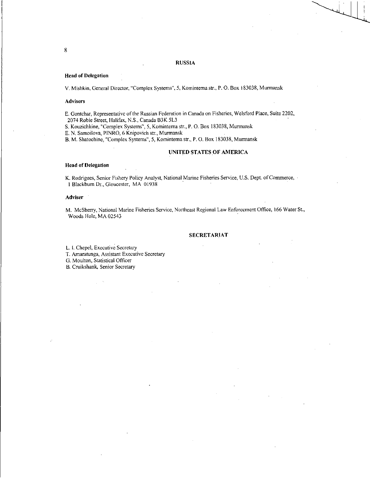### RUSSIA

### Head of Delegation

V. Mishkin, General Director, "Complex Systems", 5, Komintema str., P. 0. Box 183038, Murmansk

### Advisers

E. Gontchar, Representative of the Russian Federation in Canada on Fisheries, Welsford Place, Suite 2202, 2074 Robie Street, Halifax, N.S., Canada B3K 5L3

S. Kouzichkine, "Complex Systems", 5, Kominterna str., P.O. Box 183038, Murmansk

E. N. Samoilova, PINRO, 6 Knipovich str., Murmansk

B. M. Shatochine, "Complex Systems", 5, Komintema str., P. O. Box 183038, Murmansk

### UNITED STATES OF AMERICA

### Head of Delegation

K. Rodrigues, Senior Fishery Policy Analyst, National Marine Fisheries Service, U.S. Dept. of Commerce, 1 Blackburn Dr., Gloucester, MA 01938

### Adviser<sup>1</sup>

M. McSherry, National Marine Fisheries Service, Northeast Regional Law Enforcement Office, 166 Water St., Woods Hole, MA 02543

### SECRETARIAT

L. I. Chepel, Executive Secretary

T. Amaratunga, Assistant Executive Secretary

G. Moulton, Statistical Officer

B. Cruikshank, Senior Secretary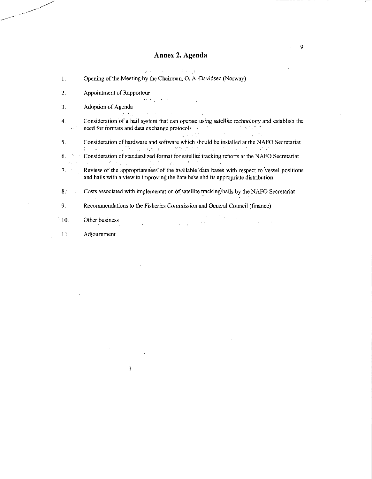# Annex 2. Agenda

|                                       | アール・コンティー アイティー・エス きわいき                                                                                                                                                                                                                                                                                                                                                                                                                                                                                                                                                                  |
|---------------------------------------|------------------------------------------------------------------------------------------------------------------------------------------------------------------------------------------------------------------------------------------------------------------------------------------------------------------------------------------------------------------------------------------------------------------------------------------------------------------------------------------------------------------------------------------------------------------------------------------|
| $\mathbf{1}$ .                        | Opening of the Meeting by the Chairman, O. A. Davidsen (Norway)                                                                                                                                                                                                                                                                                                                                                                                                                                                                                                                          |
| 2.                                    | Appointment of Rapporteur                                                                                                                                                                                                                                                                                                                                                                                                                                                                                                                                                                |
| 3.                                    | and the first state of<br>Adoption of Agenda<br>強烈の しょくしかいしょう                                                                                                                                                                                                                                                                                                                                                                                                                                                                                                                            |
| 4.<br>$\sqrt{8\pi}$ , $\frac{1}{2}$ , | Consideration of a hail system that can operate using satellite technology and establish the<br>need for formats and data exchange protocols and the state of the state of the state of the state of the state of the state of the state of the state of the state of the state of the state of the state of the state of the<br>$\mathcal{L}_{\mathcal{A}}$ and $\mathcal{L}_{\mathcal{A}}$ are the set of the set of the set of the set of the set of the set of the set of the set of the set of the set of the set of the set of the set of the set of the set of the set of the set |
| 5.                                    | Consideration of hardware and software which should be installed at the NAFO Secretariat                                                                                                                                                                                                                                                                                                                                                                                                                                                                                                 |
|                                       | ないみょう いっぽう にっぽん モールタマ クラント・マーケー ようかい えいが<br>6. • Consideration of standardized format for satellite tracking reports at the NAFO Secretariat                                                                                                                                                                                                                                                                                                                                                                                                                                             |
|                                       | 医双眼 医腹股沟 医单元 医二次性结核 医异体性 化结合的<br>7. Review of the appropriateness of the available data bases with respect to vessel positions<br>and hails with a view to improving the data base and its appropriate distribution                                                                                                                                                                                                                                                                                                                                                                      |
|                                       | 8. Costs associated with implementation of satellite tracking/hails by the NAFO Secretariat<br>The control of the control of the con-                                                                                                                                                                                                                                                                                                                                                                                                                                                    |
|                                       | Recommendations to the Fisheries Commission and General Council (finance)                                                                                                                                                                                                                                                                                                                                                                                                                                                                                                                |
| 10.                                   | Other business                                                                                                                                                                                                                                                                                                                                                                                                                                                                                                                                                                           |
| 11.                                   | Adjournment                                                                                                                                                                                                                                                                                                                                                                                                                                                                                                                                                                              |

 $\hat{\mathbf{A}}$ 

 $\ddot{\phantom{a}}$ 

9

Ť.

k.

---

---- --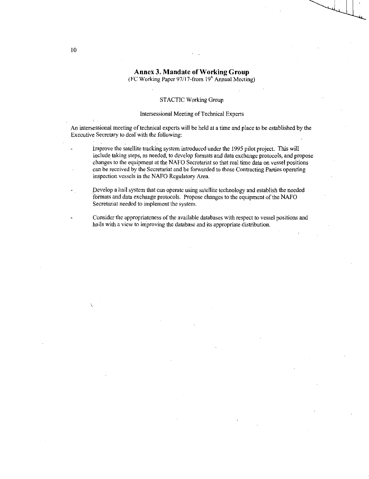# Annex 3. Mandate of Working Group

(FC Working Paper 97/17-from  $19<sup>th</sup>$  Annual Meeting)

### STACTIC Working Group

### Intersessional Meeting of Technical Experts

An intersessional meeting of technical experts will be held at a time and place to be established by the Executive Secretary to deal with the following:

Improve the satellite tracking system introduced under the 1995 pilot project. This will include taking steps, as needed, to develop formats and data exchange protocols, and propose changes to the equipment at the NAFO Secretariat so that real time data on vessel positions can be received by the Secretariat and be forwarded to those Contracting Parties operating inspection vessels in the NAFO Regulatory Area.

Develop a hail system that can operate using satellite technology and establish the needed formats and data exchange protocols. Propose changes to the equipment of the NAFO Secretariat needed to implement the system.

Consider the appropriateness of the available databases with respect to vessel positions and hails with a view to improving the database and its appropriate distribution.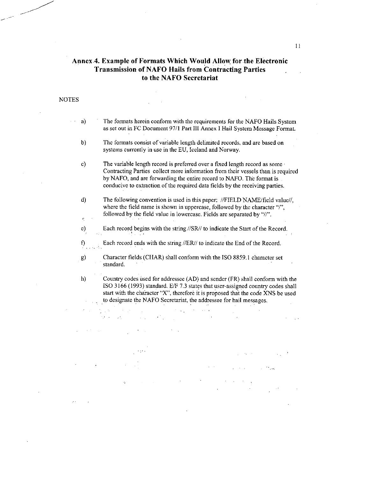### Annex 4. Example of Formats Which Would Allow for the Electronic Transmission of NAFO Hails from Contracting Parties  $\mathcal{L}$ to the NAFO Secretariat

 $\sim 10$ 

 $\mathcal{L}_{\text{max}}$ 

| a)       | The formats herein conform with the requirements for the NAFO Hails System<br>as set out in FC Document 97/1 Part III Annex I Hail System Message Format.                                                                                                                                                                  |
|----------|----------------------------------------------------------------------------------------------------------------------------------------------------------------------------------------------------------------------------------------------------------------------------------------------------------------------------|
| b)       | The formats consist of variable length delimited records, and are based on<br>systems currently in use in the EU, Iceland and Norway.                                                                                                                                                                                      |
| c)       | The variable length record is preferred over a fixed length record as some ·<br>Contracting Parties collect more information from their vessels than is required<br>by NAFO, and are forwarding the entire record to NAFO. The format is<br>conducive to extraction of the required data fields by the receiving parties.  |
| d)<br>£, | The following convention is used in this paper: //FIELD NAME/field value//,<br>where the field name is shown in uppercase, followed by the character "/",<br>followed by the field value in lowercase. Fields are separated by "//".                                                                                       |
| e)       | Each record begins with the string //SR// to indicate the Start of the Record.                                                                                                                                                                                                                                             |
| f)       | Each record ends with the string //ER// to indicate the End of the Record.                                                                                                                                                                                                                                                 |
| g)       | Character fields (CHAR) shall conform with the ISO 8859.1 character set<br>standard.                                                                                                                                                                                                                                       |
| h)       | Country codes used for addressee (AD) and sender (FR) shall conform with the<br>ISO 3166 (1993) standard. E/F 7.3 states that user-assigned country codes shall<br>start with the character "X", therefore it is proposed that the code XNS be used<br>to designate the NAFO Secretariat, the addressee for hail messages. |

 $\label{eq:2.1} \mathcal{L}_{\mathcal{A}}(\mathcal{A}) = \mathcal{L}_{\mathcal{A}}(\mathcal{A}) = \mathcal{L}_{\mathcal{A}}(\mathcal{A}) = \mathcal{L}_{\mathcal{A}}(\mathcal{A})$  $\mathcal{A}=\{x_1,\ldots,x_n\}$  , we have

NOTES

 $\sim$ 

 $\tau_{\rm v} = 1$  $\chi_{\rm{min}}=4$  $\hat{\mathcal{L}}$  $\sim 100$  km s  $^{-1}$  $\sim 10$  $\mathcal{L}^{\text{max}}$ **Contract** 

 $\mathcal{L}(\mathbf{z})$  and  $\mathcal{L}(\mathbf{z})$  are the set of the set of the set of the set of the set of the set of the set of the set of the set of the set of the set of the set of the set of the set of the set of the set of the set i<br>Sila

 $\mathbb{R}^2$ 

 $\label{eq:2.1} \mathcal{L}(\mathcal{L}^{\mathcal{L}}_{\mathcal{L}}(\mathcal{L}^{\mathcal{L}}_{\mathcal{L}})) \leq \mathcal{L}(\mathcal{L}^{\mathcal{L}}_{\mathcal{L}}(\mathcal{L}^{\mathcal{L}}_{\mathcal{L}})) \leq \mathcal{L}(\mathcal{L}^{\mathcal{L}}_{\mathcal{L}}(\mathcal{L}^{\mathcal{L}}_{\mathcal{L}}))$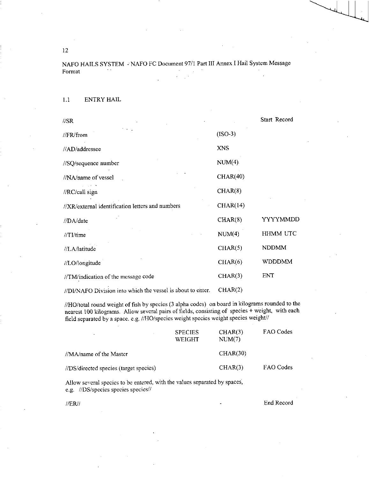NAFO HAILS SYSTEM - NAFO FC Document 97/1 Part III Annex I Hail System Message Format

1.1 ENTRY HAIL

| //SR                                                        |            | Start Record    |
|-------------------------------------------------------------|------------|-----------------|
| //FR/from                                                   | $(ISO-3)$  |                 |
| //AD/addressee                                              | <b>XNS</b> |                 |
| //SQ/sequence number                                        | $NUM(4)$ . |                 |
| //NA/name of vessel                                         | CHAR(40)   |                 |
| //RC/call sign                                              | CHAR(8)    |                 |
| //XR/external identification letters and numbers            | CHAR(14)   |                 |
| //DA/date                                                   | CHAR(8)    | YYYYMMDD        |
| $//TL$ time                                                 | NUM(4)     | <b>HHMM UTC</b> |
| //LA/latitude                                               | CHAR(5)    | <b>NDDMM</b>    |
| //LO/longitude                                              | CHAR(6)    | <b>WDDDMM</b>   |
| //TM/indication of the message code                         | CHAR(3)    | <b>ENT</b>      |
| //DI/NAFO Division into which the vessel is about to enter. | CHAR(2)    |                 |

//HO/total round weight of fish by species (3 alpha codes) on board in kilograms rounded to the nearest 100 kilograms. Allow several pairs of fields, consisting of species + weight, with each field separated by a space. e.g. //HO/species weight species weight species weight//

| $\overline{\phantom{a}}$               | <b>SPECIES</b><br><b>WEIGHT</b> | CHAR(3)<br>NUM(7) | FAO Codes |
|----------------------------------------|---------------------------------|-------------------|-----------|
| //MA/name of the Master                |                                 | CHAR(30)          |           |
| //DS/directed species (target species) |                                 | CHAR(3)           | FAO Codes |

Allow several species to be entered, with the values separated by spaces, e.g. //DS/species species species//

HER)/ End Record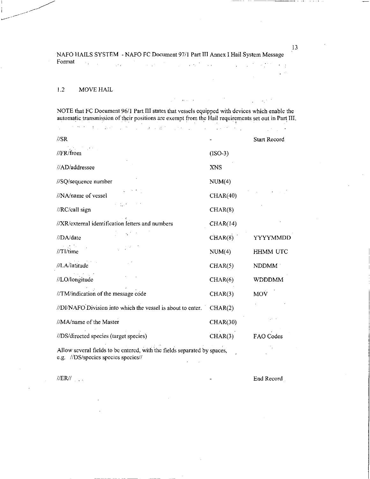NAFO HAILS SYSTEM - NAFO FC Document 97/1 Part III Annex I Hail System Message Format  $\label{eq:2} \mathcal{L} = \mathcal{L} \left( \mathcal{L} \right) \left( \mathcal{L} \right) = \mathcal{L} \left( \mathcal{L} \right) \left( \mathcal{L} \right) \left( \mathcal{L} \right)$  $\sim 10^7$  $\mathcal{L}_{\mathcal{A}}$  , and the set of  $\mathcal{A}$  $\epsilon = \frac{1}{2}$ 

### 1.2 MOVE HAIL

المحاسبين والمحارب

NOTE that FC Document 96/1 Part III states that vessels equipped with devices which enable the automatic transmission of their positions are exempt from the Hail requirements set out in Part III.  $\mathcal{L}^{\text{max}}_{\text{max}}$  , where  $\mathcal{L}^{\text{max}}_{\text{max}}$ 

| $\sqrt{SR}$                                                 |                 | <b>Start Record</b> |
|-------------------------------------------------------------|-----------------|---------------------|
| //FR/from                                                   | $(ISO-3)$       |                     |
| //AD/addressee                                              | <b>XNS</b>      |                     |
| //SQ/sequence number                                        | NUM(4)          |                     |
| //NA/name of vessel                                         | CHAR(40)        |                     |
| //RC/call sign                                              | CHAR(8)         |                     |
| //XR/external identification letters and numbers            | CHAR(14)        |                     |
| //DA/date                                                   | CHAR(8)         | YYYYMMDD            |
| $//TI$ /time                                                | NUM(4)          | HHMM UTC            |
| //LA/latitude                                               | CHAR(5)         | NDDMM               |
| //LO/longitude                                              | CHAR(6)         | <b>WDDDMM</b>       |
| //TM/indication of the message code                         | CHAR(3)         | MOV                 |
| //DI/NAFO Division into which the vessel is about to enter. | CHAR(2)         |                     |
| //MA/name of the Master                                     | <b>CHAR(30)</b> |                     |
| //DS/directed species (target species)                      | CHAR(3)         | FAO Codes           |

Allow several fields to be entered, with the fields separated by spaces, e.g. //DS/species species species//  $\mathcal{L}$ 

//ER// End Record

13

 $\omega$  as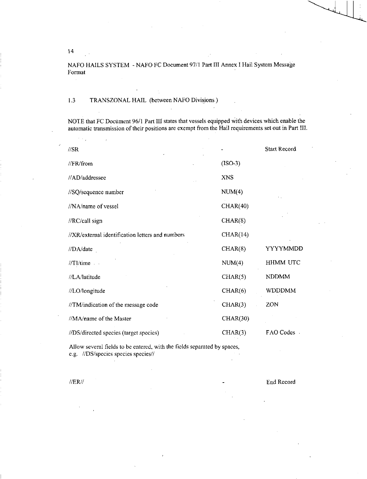14

NAFO HAILS SYSTEM - NAFO FC Document 97/1 Part III Annex I Hail System Message Format

## 1.3 TRANSZONAL HAIL (between NAFO Divisions )

NOTE that FC Document 96/1 Part III states that vessels equipped with devices which enable the automatic transmission of their positions are exempt from the Hail requirements set out in Part III.

| $\sqrt{SR}$                                      |            | Start Record    |
|--------------------------------------------------|------------|-----------------|
| //FR/from                                        | $(ISO-3)$  |                 |
| //AD/addressee                                   | <b>XNS</b> |                 |
| //SQ/sequence number                             | NUM(4)     |                 |
| //NA/name of vessel                              | CHAR(40)   |                 |
| //RC/call sign                                   | CHAR(8)    |                 |
| //XR/external identification letters and numbers | CHAR(14)   |                 |
| //DA/date                                        | CHAR(8)    | YYYYMMDD        |
| //TI/time                                        | NUM(4)     | <b>HHMM UTC</b> |
| //LA/latitude                                    | CHAR(5)    | <b>NDDMM</b>    |
| //LO/longitude                                   | CHAR(6)    | <b>WDDDMM</b>   |
| //TM/indication of the message code              | CHAR(3)    | ZON             |
| //MA/name of the Master                          | CHAR(30)   |                 |
| //DS/directed species (target species)           | CHAR(3)    | FAO Codes       |

Allow several fields to be entered, with the fields separated by spaces, e.g. //DS/species species species//

//ER// End Record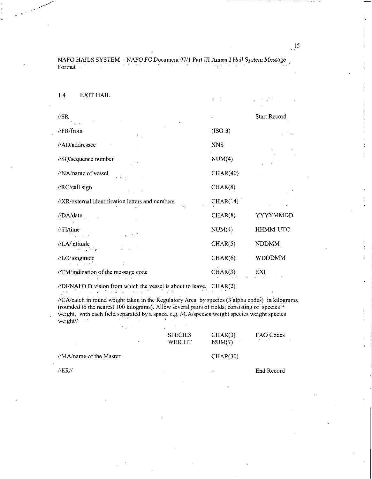NAFO HAILS SYSTEM - NAFO FC Document 97/1 Part III *Annex* I Hail System *Message*  Format  $\sim 10^{-1}$ 

1.4 EXIT HAIL

 $\sim 3-$ 

 $\pm$ 

| $\sqrt{S}R$<br>and the company of the company                                  |            | <b>Start Record</b>         |
|--------------------------------------------------------------------------------|------------|-----------------------------|
| //FR/from<br>- F - 1                                                           | $(ISO-3)$  |                             |
| //AD/addressee                                                                 | <b>XNS</b> | $\mathcal{R}^{\mathcal{L}}$ |
| //SQ/sequence number                                                           | NUM(4)     |                             |
| //NA/name of vessel<br>$\mathbf{e} = \mathbf{e}(\mathbf{S} \mid \mathbf{u})$ . | CHAR(40)   |                             |
| //RC/call sign<br>$22$ and $42$                                                | CHAR(8)    | $\mathbb{R}^{d \times d}$   |
| //XR/external identification letters and numbers                               | CHAR(14)   |                             |
| //DA/date                                                                      | CHAR(8)    | YYYYMMDD                    |
| $//$ TI/time<br>$\omega_{\rm c} = E_{\rm c}/\sigma$<br>in a shekar             | NUM(4)     | HHMM UTC                    |
| //LA/latitude<br>中国 (内)<br>a no che fan                                        | CHAR(5)    | <b>NDDMM</b>                |
| //LO/longitude                                                                 | CHAR(6)    | <b>WDDDMM</b>               |
| //TM/indication of the message code<br>The company of the company of the       | CHAR(3)    | EXI                         |

//DI/NAFO Division from which the vessel is about to leave. CHAR(2)

//CA/catch in round weight taken in the Regulatory Area by species (3'alpha codes) in kilograms (rounded to the nearest 100 kilograms). Allow several pairs of fields, consisting of species + weight, with each field separated by a space. e.g. //CA/species weight species weight species weight//  $\sim$ 

|                         | <b>SPECIES</b><br>WEIGHT | CHAR(3)<br>NUM(7) | FAO Codes<br>and the company of the |
|-------------------------|--------------------------|-------------------|-------------------------------------|
| //MA/name of the Master |                          | CHAR(30)          |                                     |
| $\sqrt{ERII}$           |                          |                   | End Record                          |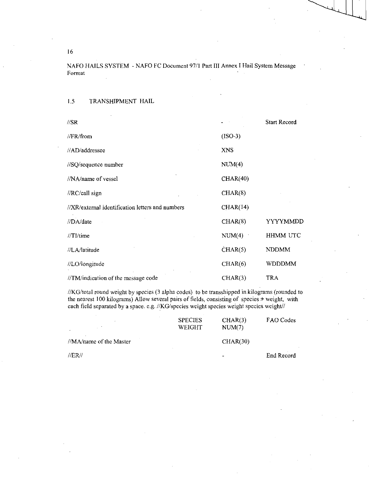NAFO HAILS SYSTEM - NAFO FC Document 97/1 Part III Annex I Hail System Message Format

1.5 TRANSHIPMENT HAIL

| $\sqrt{S}R$                                      |                  | <b>Start Record</b> |
|--------------------------------------------------|------------------|---------------------|
| $\sqrt{FR/\text{from}}$                          | $(ISO-3)$        |                     |
| //AD/addressee                                   | XNS <sup>-</sup> |                     |
| //SQ/sequence number                             | NUM(4)           |                     |
| //NA/name of vessel                              | CHAR(40)         |                     |
| //RC/call sign                                   | CHAR(8)          |                     |
| //XR/external identification letters and numbers | CHAR(14)         |                     |
| //DA/date                                        | CHAR(8)          | YYYYMMDD            |
| //TI/time                                        | NUM(4)           | <b>HHMM UTC</b>     |
| //LA/latitude                                    | CHAR(5)          | <b>NDDMM</b>        |
| //LO/longitude                                   | CHAR(6)          | WDDDMM              |
| //TM/indication of the message code              | CHAR(3)          | TRA                 |

//KG/total round weight by species (3 alpha codes) to be transshipped in kilograms (rounded to the nearest 100 kilograms) Allow several pairs of fields, consisting of species + weight, with each field separated by a space. e.g. //KG/species weight species weight species weight//

|                         | <b>SPECIES</b><br>WEIGHT | CHAR(3)<br>NUM(7)        | FAO Codes  |
|-------------------------|--------------------------|--------------------------|------------|
| //MA/name of the Master |                          | CHAR(30)                 |            |
| //ER//                  |                          | $\overline{\phantom{0}}$ | End Record |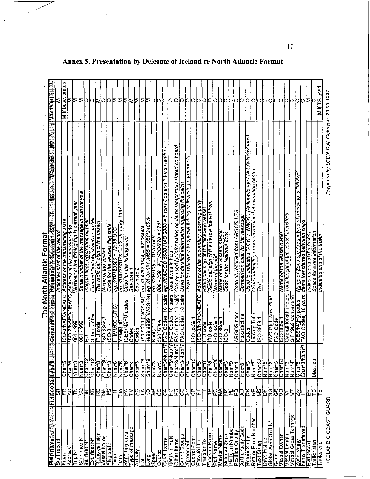|                                      |                       |                                        |                                               | Format<br>The North Atlantic                                                                  |                       |
|--------------------------------------|-----------------------|----------------------------------------|-----------------------------------------------|-----------------------------------------------------------------------------------------------|-----------------------|
| Ī<br><b>Field name</b>               | Field code Tiyee Mill | æ.                                     | <b>Contents</b>                               | <b>Remarks</b>                                                                                | i.<br><b>Mand/Opt</b> |
| Start record                         | န္တ                   |                                        |                                               | Indicates start of the record                                                                 |                       |
| From                                 | ESE.                  | iglia<br>Chara<br>Char                 | SO-3/NAFO/NEAFC                               | Address of the transmitting state<br>Address of the receiving state                           | states<br>M if belw   |
| Saddress                             |                       |                                        | SO-3MAFOMEAFC                                 |                                                                                               |                       |
| مام<br>انوا                          |                       | Num <sup>-3</sup>                      | န္တြ<br>$\blacksquare$<br>Ē                   | Number of the fishing trip in current year                                                    | ⊵                     |
| Sequence N                           | ¦⊗∣≊                  | Num <sup>-3</sup>                      | 999<br>$\bullet$<br>$\overline{5}$            | Serial number of the message in current year                                                  | Σ                     |
| int. fleet N                         |                       | Char12                                 | 묘                                             | Internal fleet registration number                                                            | Ю                     |
| Ext. fleet N°                        | 격업물없는                 | Char12                                 | Side numbe                                    | External fleet registration number                                                            | 0                     |
| Radio call sign                      |                       | $\overline{Char8}$                     | <b>TU</b> code                                | The radio call sign of the vessel                                                             | ⋝                     |
| vessel Name                          |                       | Char30                                 | SO 8859                                       | Name of the vessel                                                                            | O                     |
| Flag state                           |                       | Char <sup>-</sup> 3                    | ISO-3                                         | Code for the vessels flag state                                                               | Ю                     |
| lme                                  |                       | Num <sup>*</sup> 6                     | (UTC)<br><b>HHMMSS</b>                        | 7717123500 = 12.35 U<br>έġ.                                                                   | ≅                     |
| Date                                 | 쟳                     | Num <sup>-6</sup>                      | <b>JAMNA</b>                                  | eg. //DA/97/01/22 = 22. January 1997<br>Code for the fishing area                             | ≥¤¤≥                  |
| Reporting area                       |                       | Char <sup>6</sup>                      | CES/NAFO codes                                |                                                                                               |                       |
| ype of message                       |                       | Char4                                  | Codes                                         | See note                                                                                      |                       |
| Activity                             |                       | Char <sup>7</sup> 3                    | Codes                                         | See note 2                                                                                    |                       |
| ā                                    |                       | Snum*8                                 | 199 9999 (WGS-84)                             | eg. //LA/62.3544 = 62°3544N                                                                   | Σ                     |
| Long                                 |                       | Snum*9                                 | (AS-8-20W)<br>1999.9999                       |                                                                                               | ∣≅                    |
| Speed                                |                       | Num <sup>*3</sup>                      | Knots $*10$                                   | eg. M.O/-021.3455 = 021*3455W<br>eg. //SP/105 = 10.5 knois<br>000 - 359 · eg. //CO/270 = 270* | Ю                     |
| Course                               |                       | Num <sup>+3</sup>                      | $360°$ scale                                  |                                                                                               | Ю                     |
| Catch Items                          |                       | Char <sup>+</sup> 3/Num                | pairs<br>$\overline{\mathbf{C}}$<br>FAO Codes | = 5 tons Cod and 3 tons Haddock<br>eg: //CA/COD 5000 HAD 3000<br>Total items in hold          | ю                     |
| tems in Hold                         |                       | Char 3/Num                             | 10 pairs<br><b>FAO Codes</b>                  |                                                                                               | o                     |
| <b>Other Items</b>                   | 크랑잉영원검러잉예의지영복         | Char 3/Num                             | alied 01<br>FAO Codes                         | Can by used for information on items temporarily stored on board                              | Ю                     |
| <b>Count Groups</b>                  |                       | Char 3/Num                             | 10 pairs<br><b>FAO Codes</b> ,                | Used for detailed information regarding the catch                                             |                       |
| Agreement                            |                       | $\overline{C}$ har <sup>2</sup> 4      |                                               | Used for reference to special fishing or licensing agreements                                 |                       |
| Control Point                        |                       | Char10                                 | SO 8859                                       |                                                                                               |                       |
| orward To                            |                       | $C$ har 5                              |                                               | SO-3/NAFO/NEAFC Address of the secondary receiving party                                      | 0000                  |
| ransfer To                           | C                     | C <sub>har</sub>                       | <b>TU</b> code                                | Radio call sign of the receiving vessel                                                       | Ю                     |
| ransfer From                         | ⊭                     | $\overline{Char8}$                     | <b>HU</b> code                                | Radio call sign of the vessel loaded from                                                     | Ю                     |
| <b>Port Name</b>                     | ဥ                     | $\overline{C}$ har 20                  | SO 8859.                                      | Name of the port                                                                              | Ю                     |
| <b>Master Name</b>                   |                       | $C$ har 30                             | SO 8859.                                      | Name of the vessels master                                                                    | p                     |
| Vational Zone                        |                       | Char <sub>3</sub>                      | 503                                           | Code for the National Zone                                                                    | Ю                     |
| Platform Number                      |                       | Num <sup>-9</sup>                      |                                               |                                                                                               | р                     |
| Position Quality                     |                       | C <sub>Ha</sub>                        | ARGOS code                                    | Code as received from ARGOS LES                                                               | 10                    |
| <b>Authenticity Code</b>             |                       | $\overline{Hex3}$                      |                                               |                                                                                               | Ю                     |
|                                      |                       | $C$ har <sup>-1</sup> 3                | Hexadecimal                                   | Acknowledge / Not Acknowledge,<br>Comparison code for the message<br>"NACK"<br>"ACK",         | Ю                     |
| Return Error Number<br>Return Status |                       | Num <sup>-3</sup>                      | Codes                                         | Used to indicated                                                                             | Ю                     |
|                                      |                       |                                        | Lookup Table<br>ISO 8859.1                    | at operation centre<br>Codes indicating errors as received                                    | Ю                     |
| Days Fished<br>ext String            | 독일보업 지역력경             | Char32                                 |                                               | ixel                                                                                          | Ю                     |
|                                      |                       | Num <sup>-5</sup>                      |                                               |                                                                                               |                       |
| Global Area Grid N <sup>®</sup>      | ပ္ပြ                  | Num 2                                  | FAO Glob Area Grid                            |                                                                                               | Ю                     |
| <b>Vessel Owner</b><br>Gear          | ξ<br>g                | Char3                                  | <b>FAO Code</b>                               |                                                                                               | Ю<br>о                |
|                                      |                       | Char <sup>6</sup><br>Num <sup>-3</sup> | SO 8859.                                      | Name og the vessel owner                                                                      | ю                     |
| Vessel Length                        | Ş,<br>5               |                                        | Overall length meters                         | Total lenght of the vessel in meters                                                          |                       |
| <b>Jessel Gross Tonnage</b>          |                       | Num <sup>-4</sup>                      | GT 1969 Convention                            |                                                                                               | Ю                     |
| one Name                             | ξ                     | Char <sup>-</sup> 6                    | ICES/NAFO codes                               | message is "MOVE"<br>Name of Zone ore Area if type of                                         | о                     |
| lems Transferred                     |                       | Char <sup>-</sup> 3/Num                | 10 pairs<br>FAO Codes,                        | frems transferred between ships                                                               | O                     |
| End record                           | 臣                     |                                        |                                               | Indicates end of the record                                                                   | ⊵                     |
| railer start                         | 险                     | န္တ<br>Max.                            |                                               | Space for extra information                                                                   | Ю                     |
| railer end                           |                       |                                        |                                               | Indicates end of the trailer                                                                  | Mif TS used           |
| ICELANDIC COAST GUARD                |                       |                                        |                                               | Prepared by LCDR Gylfi Geirsson 29.03.1997                                                    |                       |

# L

Annex 5. Presentation by Delegate of Iceland re North Atlantic Format

 $17$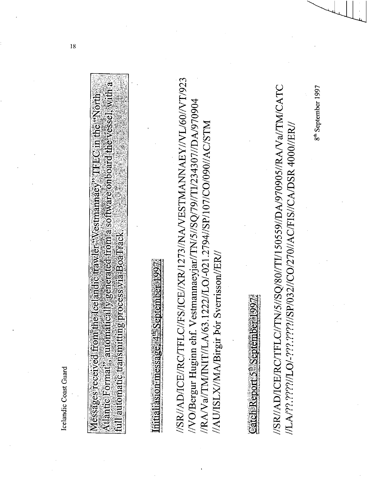Icelandic Coast Guard

| í                                               |  |
|-------------------------------------------------|--|
| iya<br>An<br>í<br>ĵ<br>j                        |  |
| ું                                              |  |
| ś,<br>į<br>ţ<br>١<br>Ą                          |  |
| erri<br>3<br>î<br>š<br>Į                        |  |
| <b>Contract</b><br>ę                            |  |
| ĺ<br>Ŧ<br>$\frac{1}{2}$<br>ļ,<br>j              |  |
| i.<br>ť                                         |  |
| a based on                                      |  |
| \$                                              |  |
| í                                               |  |
| is<br>Sitece<br>ļ<br>$\frac{1}{2}$<br>ĺ         |  |
| î.<br>Ś,<br>i                                   |  |
| í                                               |  |
| i.                                              |  |
| Į<br>I<br>ą                                     |  |
| $\sim$<br>$\frac{1}{2}$<br>i<br>j<br>á          |  |
|                                                 |  |
| 小さん にんしゅう<br>en 19<br>$\ddot{\phantom{a}}$<br>é |  |
| ð.<br>Ŋ                                         |  |
| ì<br>▎<br>l                                     |  |

 $\frac{1}{2}$ ptember 1997. rasion messa

//SR//AD/ICE//RC/TFLC//FS/ICE//XR/1273//NA/VESTMANNAEY//VL/60//VT/923 //VO/Bergur Huginn ehf. Vestmannaeyjar//TN/5//SQ/79//T1/234307//DA/970904 //RA/Va//TM/INIT//LA/63.1222//LO/-021.2794//SP/107/CO/090//AC/STM //AU/ISLX/MA/Birgir bór Sverrisson//ER/

Catch Report S<sup>th</sup>

//SR//AD/ICE/RC/TFLC//TN/5//SQ/80//TI/150559//DA/970905//RA/Va//TM/CATC //LA/??.????//LO/-???.????//SP/032//CO/270//AC/FIS//CA/DSR 4000//ER

8<sup>th</sup> September 1997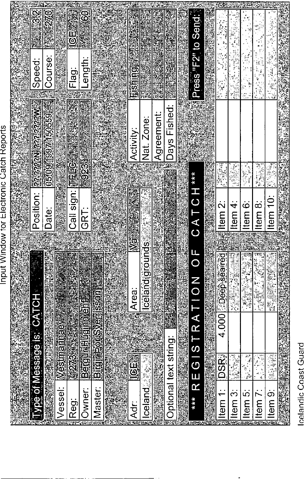Press "F2" to Send.  $50$ ICE 图 Course: Length: Speed: Flag: EShinga 05/09/1997 150559 Position: *Renaminational M* oays Fished: Agreement: Nat. Zone: Activity: Call sign: tes = **1923** 不定的  $\frac{1}{2}$ REGISTRATION OF CATCH\*\*\* Item<sub>10</sub>: Item 6: Item 8: Item 2: Item 4: Date: GRT: Ş **Inceland grounds** 4.000 2006 3 Seare Area: **Birgin por Svemisson** Vpe of Message is: CATCH **Berguin Hugino Sh** Westmannaey Optional text string: **DSR** 潮海军器 i<br>O من<br>الأساسي<br>مقاطع 1273 **Lelandia** Master: Vessel: Owner: Item 1: Item 5: Item 9: Item 3: Item<sub>7</sub>:  $***$ **Reg:** kir:<br>K

Input Window for Electronic Catch Reports

celandic Coast Guard